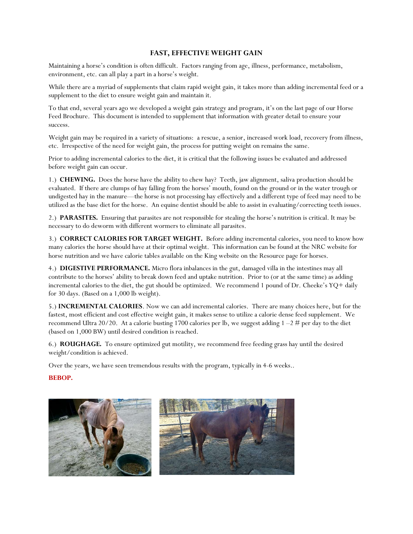## FAST, EFFECTIVE WEIGHT GAIN

Maintaining a horse's condition is often difficult. Factors ranging from age, illness, performance, metabolism, environment, etc. can all play a part in a horse's weight.

While there are a myriad of supplements that claim rapid weight gain, it takes more than adding incremental feed or a supplement to the diet to ensure weight gain and maintain it.

To that end, several years ago we developed a weight gain strategy and program, it's on the last page of our Horse Feed Brochure. This document is intended to supplement that information with greater detail to ensure your success.

Weight gain may be required in a variety of situations: a rescue, a senior, increased work load, recovery from illness, etc. Irrespective of the need for weight gain, the process for putting weight on remains the same.

Prior to adding incremental calories to the diet, it is critical that the following issues be evaluated and addressed before weight gain can occur.

1.) CHEWING. Does the horse have the ability to chew hay? Teeth, jaw alignment, saliva production should be evaluated. If there are clumps of hay falling from the horses' mouth, found on the ground or in the water trough or undigested hay in the manure—the horse is not processing hay effectively and a different type of feed may need to be utilized as the base diet for the horse. An equine dentist should be able to assist in evaluating/correcting teeth issues.

2.) PARASITES. Ensuring that parasites are not responsible for stealing the horse's nutrition is critical. It may be necessary to do deworm with different wormers to eliminate all parasites.

3.) CORRECT CALORIES FOR TARGET WEIGHT. Before adding incremental calories, you need to know how many calories the horse should have at their optimal weight. This information can be found at the NRC website for horse nutrition and we have calorie tables available on the King website on the Resource page for horses.

4.) DIGESTIVE PERFORMANCE. Micro flora inbalances in the gut, damaged villa in the intestines may all contribute to the horses' ability to break down feed and uptake nutrition. Prior to (or at the same time) as adding incremental calories to the diet, the gut should be optimized. We recommend 1 pound of Dr. Cheeke's YQ+ daily for 30 days. (Based on a 1,000 lb weight).

5.) INCREMENTAL CALORIES. Now we can add incremental calories. There are many choices here, but for the fastest, most efficient and cost effective weight gain, it makes sense to utilize a calorie dense feed supplement. We recommend Ultra 20/20. At a calorie busting 1700 calories per lb, we suggest adding  $1-2 \text{ } \#$  per day to the diet (based on 1,000 BW) until desired condition is reached.

6.) ROUGHAGE. To ensure optimized gut motility, we recommend free feeding grass hay until the desired weight/condition is achieved.

Over the years, we have seen tremendous results with the program, typically in 4-6 weeks..

## BEBOP.

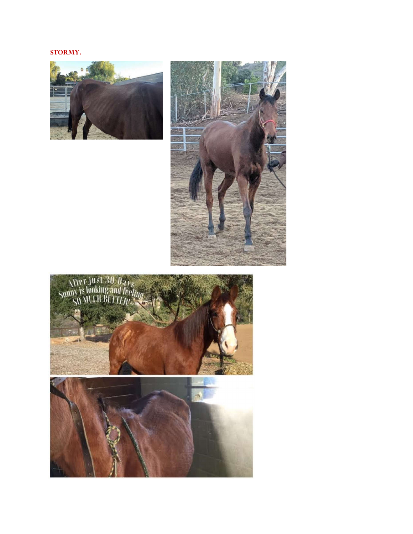## STORMY.